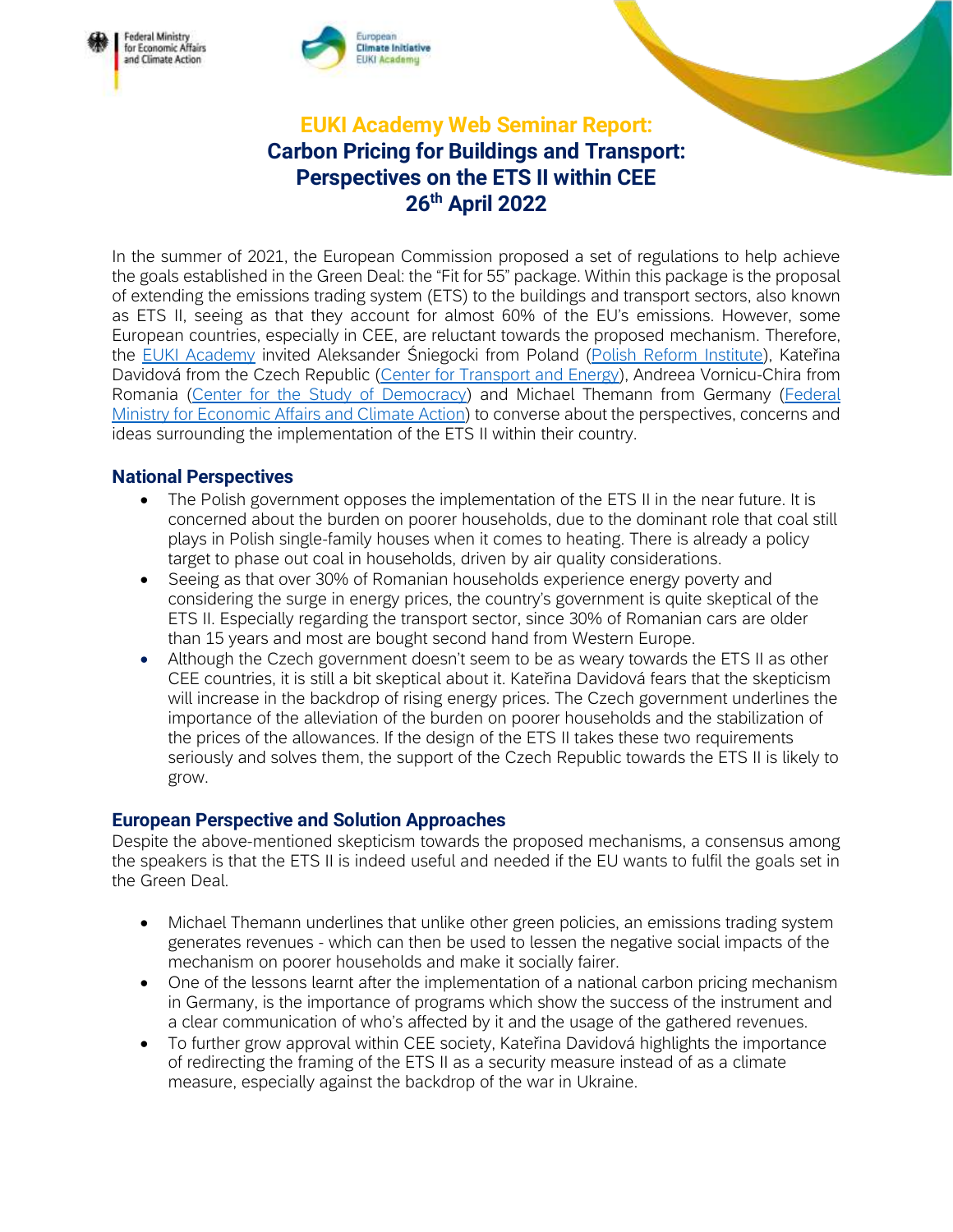

## EUKI Academy Web Seminar Report: Carbon Pricing for Buildings and Transport: Perspectives on the ETS II within CEE 26<sup>th</sup> April 2022

In the summer of 2021, the European Commission proposed a set of regulations to help achieve the goals established in the Green Deal: the "Fit for 55" package. Within this package is the proposal of extending the emissions trading system (ETS) to the buildings and transport sectors, also known as ETS II, seeing as that they account for almost 60% of the EU's emissions. However, some European countries, especially in CEE, are reluctant towards the proposed mechanism. Therefore, the [EUKI Academy](https://www.euki.de/en/euki-events/#event-current) invited Aleksander Śniegocki from Poland [\(Polish Reform Institute\)](https://www.ireform.eu/en/), Kateřina Davidová from the Czech Republic [\(Center for Transport and Energy\)](https://www.cde-org.cz/en), Andreea Vornicu-Chira from Romania [\(Center for the Study of Democracy\)](https://www.democracycenter.ro/english) and Michael Themann from Germany [\(Federal](https://www.bmwk.de/Navigation/DE/Home/home.html)  [Ministry for Economic Affairs and Climate Action\)](https://www.bmwk.de/Navigation/DE/Home/home.html) to converse about the perspectives, concerns and ideas surrounding the implementation of the ETS II within their country.

## National Perspectives

Federal Ministry<br>for Economic Affairs

and Climate Action

- The Polish government opposes the implementation of the ETS II in the near future. It is concerned about the burden on poorer households, due to the dominant role that coal still plays in Polish single-family houses when it comes to heating. There is already a policy target to phase out coal in households, driven by air quality considerations.
- Seeing as that over 30% of Romanian households experience energy poverty and considering the surge in energy prices, the country's government is quite skeptical of the ETS II. Especially regarding the transport sector, since 30% of Romanian cars are older than 15 years and most are bought second hand from Western Europe.
- Although the Czech government doesn't seem to be as weary towards the ETS II as other CEE countries, it is still a bit skeptical about it. Kateřina Davidová fears that the skepticism will increase in the backdrop of rising energy prices. The Czech government underlines the importance of the alleviation of the burden on poorer households and the stabilization of the prices of the allowances. If the design of the ETS II takes these two requirements seriously and solves them, the support of the Czech Republic towards the ETS II is likely to grow.

## European Perspective and Solution Approaches

Despite the above-mentioned skepticism towards the proposed mechanisms, a consensus among the speakers is that the ETS II is indeed useful and needed if the EU wants to fulfil the goals set in the Green Deal.

- Michael Themann underlines that unlike other green policies, an emissions trading system generates revenues - which can then be used to lessen the negative social impacts of the mechanism on poorer households and make it socially fairer.
- One of the lessons learnt after the implementation of a national carbon pricing mechanism in Germany, is the importance of programs which show the success of the instrument and a clear communication of who's affected by it and the usage of the gathered revenues.
- To further grow approval within CEE society, Kateřina Davidová highlights the importance of redirecting the framing of the ETS II as a security measure instead of as a climate measure, especially against the backdrop of the war in Ukraine.